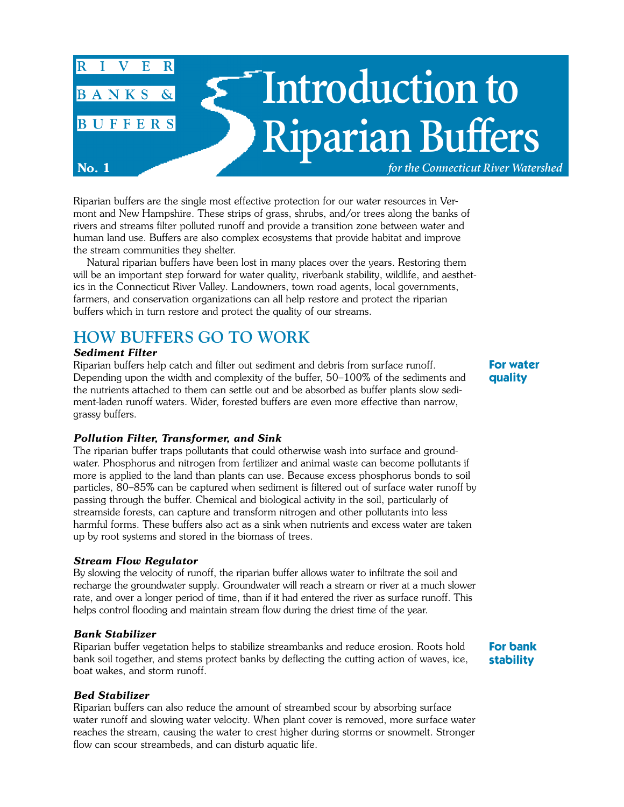

Riparian buffers are the single most effective protection for our water resources in Vermont and New Hampshire. These strips of grass, shrubs, and/or trees along the banks of rivers and streams filter polluted runoff and provide a transition zone between water and human land use. Buffers are also complex ecosystems that provide habitat and improve the stream communities they shelter.

Natural riparian buffers have been lost in many places over the years. Restoring them will be an important step forward for water quality, riverbank stability, wildlife, and aesthetics in the Connecticut River Valley. Landowners, town road agents, local governments, farmers, and conservation organizations can all help restore and protect the riparian buffers which in turn restore and protect the quality of our streams.

# **HOW BUFFERS GO TO WORK**

#### *Sediment Filter*

Riparian buffers help catch and filter out sediment and debris from surface runoff. Depending upon the width and complexity of the buffer, 50–100% of the sediments and the nutrients attached to them can settle out and be absorbed as buffer plants slow sediment-laden runoff waters. Wider, forested buffers are even more effective than narrow, grassy buffers.

## *Pollution Filter, Transformer, and Sink*

The riparian buffer traps pollutants that could otherwise wash into surface and groundwater. Phosphorus and nitrogen from fertilizer and animal waste can become pollutants if more is applied to the land than plants can use. Because excess phosphorus bonds to soil particles, 80–85% can be captured when sediment is filtered out of surface water runoff by passing through the buffer. Chemical and biological activity in the soil, particularly of streamside forests, can capture and transform nitrogen and other pollutants into less harmful forms. These buffers also act as a sink when nutrients and excess water are taken up by root systems and stored in the biomass of trees.

#### *Stream Flow Regulator*

By slowing the velocity of runoff, the riparian buffer allows water to infiltrate the soil and recharge the groundwater supply. Groundwater will reach a stream or river at a much slower rate, and over a longer period of time, than if it had entered the river as surface runoff. This helps control flooding and maintain stream flow during the driest time of the year.

#### *Bank Stabilizer*

Riparian buffer vegetation helps to stabilize streambanks and reduce erosion. Roots hold bank soil together, and stems protect banks by deflecting the cutting action of waves, ice, boat wakes, and storm runoff.

## **For bank stability**

## *Bed Stabilizer*

Riparian buffers can also reduce the amount of streambed scour by absorbing surface water runoff and slowing water velocity. When plant cover is removed, more surface water reaches the stream, causing the water to crest higher during storms or snowmelt. Stronger flow can scour streambeds, and can disturb aquatic life.

**For water quality**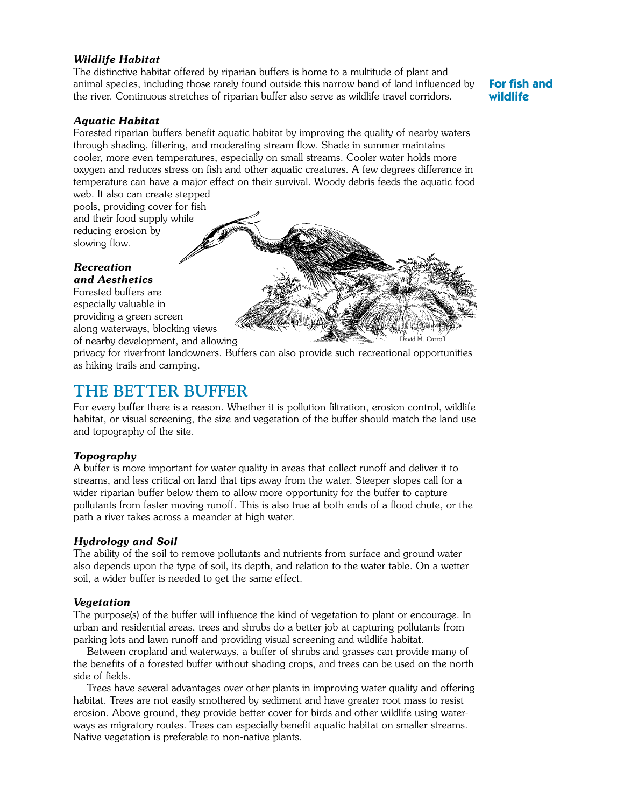#### *Wildlife Habitat*

The distinctive habitat offered by riparian buffers is home to a multitude of plant and animal species, including those rarely found outside this narrow band of land influenced by the river. Continuous stretches of riparian buffer also serve as wildlife travel corridors.

## **For fish and wildlife**

#### *Aquatic Habitat*

Forested riparian buffers benefit aquatic habitat by improving the quality of nearby waters through shading, filtering, and moderating stream flow. Shade in summer maintains cooler, more even temperatures, especially on small streams. Cooler water holds more oxygen and reduces stress on fish and other aquatic creatures. A few degrees difference in temperature can have a major effect on their survival. Woody debris feeds the aquatic food web. It also can create stepped

pools, providing cover for fish and their food supply while reducing erosion by slowing flow.

#### *Recreation and Aesthetics*

Forested buffers are especially valuable in providing a green screen along waterways, blocking views of nearby development, and allowing

privacy for riverfront landowners. Buffers can also provide such recreational opportunities as hiking trails and camping.

## **THE BETTER BUFFER**

For every buffer there is a reason. Whether it is pollution filtration, erosion control, wildlife habitat, or visual screening, the size and vegetation of the buffer should match the land use and topography of the site.

#### *Topography*

A buffer is more important for water quality in areas that collect runoff and deliver it to streams, and less critical on land that tips away from the water. Steeper slopes call for a wider riparian buffer below them to allow more opportunity for the buffer to capture pollutants from faster moving runoff. This is also true at both ends of a flood chute, or the path a river takes across a meander at high water.

#### *Hydrology and Soil*

The ability of the soil to remove pollutants and nutrients from surface and ground water also depends upon the type of soil, its depth, and relation to the water table. On a wetter soil, a wider buffer is needed to get the same effect.

#### *Vegetation*

The purpose(s) of the buffer will influence the kind of vegetation to plant or encourage. In urban and residential areas, trees and shrubs do a better job at capturing pollutants from parking lots and lawn runoff and providing visual screening and wildlife habitat.

Between cropland and waterways, a buffer of shrubs and grasses can provide many of the benefits of a forested buffer without shading crops, and trees can be used on the north side of fields.

Trees have several advantages over other plants in improving water quality and offering habitat. Trees are not easily smothered by sediment and have greater root mass to resist erosion. Above ground, they provide better cover for birds and other wildlife using waterways as migratory routes. Trees can especially benefit aquatic habitat on smaller streams. Native vegetation is preferable to non-native plants.

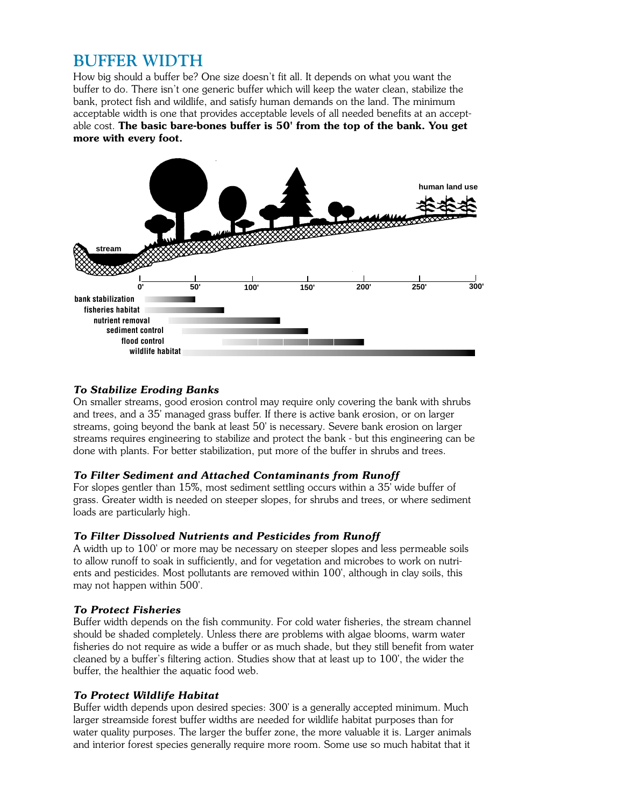# **BUFFER WIDTH**

How big should a buffer be? One size doesn't fit all. It depends on what you want the buffer to do. There isn't one generic buffer which will keep the water clean, stabilize the bank, protect fish and wildlife, and satisfy human demands on the land. The minimum acceptable width is one that provides acceptable levels of all needed benefits at an acceptable cost. **The basic bare-bones buffer is 50' from the top of the bank. You get more with every foot.**



## *To Stabilize Eroding Banks*

On smaller streams, good erosion control may require only covering the bank with shrubs and trees, and a 35' managed grass buffer. If there is active bank erosion, or on larger streams, going beyond the bank at least 50' is necessary. Severe bank erosion on larger streams requires engineering to stabilize and protect the bank - but this engineering can be done with plants. For better stabilization, put more of the buffer in shrubs and trees.

## *To Filter Sediment and Attached Contaminants from Runoff*

For slopes gentler than 15%, most sediment settling occurs within a 35' wide buffer of grass. Greater width is needed on steeper slopes, for shrubs and trees, or where sediment loads are particularly high.

## *To Filter Dissolved Nutrients and Pesticides from Runoff*

A width up to 100' or more may be necessary on steeper slopes and less permeable soils to allow runoff to soak in sufficiently, and for vegetation and microbes to work on nutrients and pesticides. Most pollutants are removed within 100', although in clay soils, this may not happen within 500'.

## *To Protect Fisheries*

Buffer width depends on the fish community. For cold water fisheries, the stream channel should be shaded completely. Unless there are problems with algae blooms, warm water fisheries do not require as wide a buffer or as much shade, but they still benefit from water cleaned by a buffer's filtering action. Studies show that at least up to 100', the wider the buffer, the healthier the aquatic food web.

## *To Protect Wildlife Habitat*

Buffer width depends upon desired species: 300' is a generally accepted minimum. Much larger streamside forest buffer widths are needed for wildlife habitat purposes than for water quality purposes. The larger the buffer zone, the more valuable it is. Larger animals and interior forest species generally require more room. Some use so much habitat that it